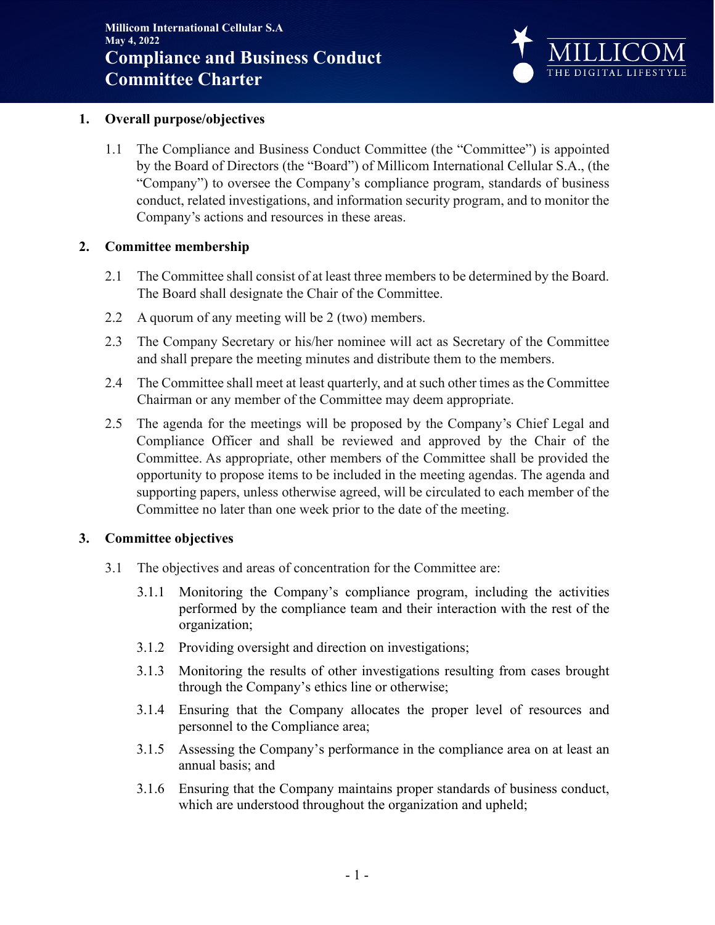

### **1. Overall purpose/objectives**

1.1 The Compliance and Business Conduct Committee (the "Committee") is appointed by the Board of Directors (the "Board") of Millicom International Cellular S.A., (the "Company") to oversee the Company's compliance program, standards of business conduct, related investigations, and information security program, and to monitor the Company's actions and resources in these areas.

### **2. Committee membership**

- 2.1 The Committee shall consist of at least three members to be determined by the Board. The Board shall designate the Chair of the Committee.
- 2.2 A quorum of any meeting will be 2 (two) members.
- 2.3 The Company Secretary or his/her nominee will act as Secretary of the Committee and shall prepare the meeting minutes and distribute them to the members.
- 2.4 The Committee shall meet at least quarterly, and at such other times as the Committee Chairman or any member of the Committee may deem appropriate.
- 2.5 The agenda for the meetings will be proposed by the Company's Chief Legal and Compliance Officer and shall be reviewed and approved by the Chair of the Committee. As appropriate, other members of the Committee shall be provided the opportunity to propose items to be included in the meeting agendas. The agenda and supporting papers, unless otherwise agreed, will be circulated to each member of the Committee no later than one week prior to the date of the meeting.

# **3. Committee objectives**

- 3.1 The objectives and areas of concentration for the Committee are:
	- 3.1.1 Monitoring the Company's compliance program, including the activities performed by the compliance team and their interaction with the rest of the organization;
	- 3.1.2 Providing oversight and direction on investigations;
	- 3.1.3 Monitoring the results of other investigations resulting from cases brought through the Company's ethics line or otherwise;
	- 3.1.4 Ensuring that the Company allocates the proper level of resources and personnel to the Compliance area;
	- 3.1.5 Assessing the Company's performance in the compliance area on at least an annual basis; and
	- 3.1.6 Ensuring that the Company maintains proper standards of business conduct, which are understood throughout the organization and upheld;